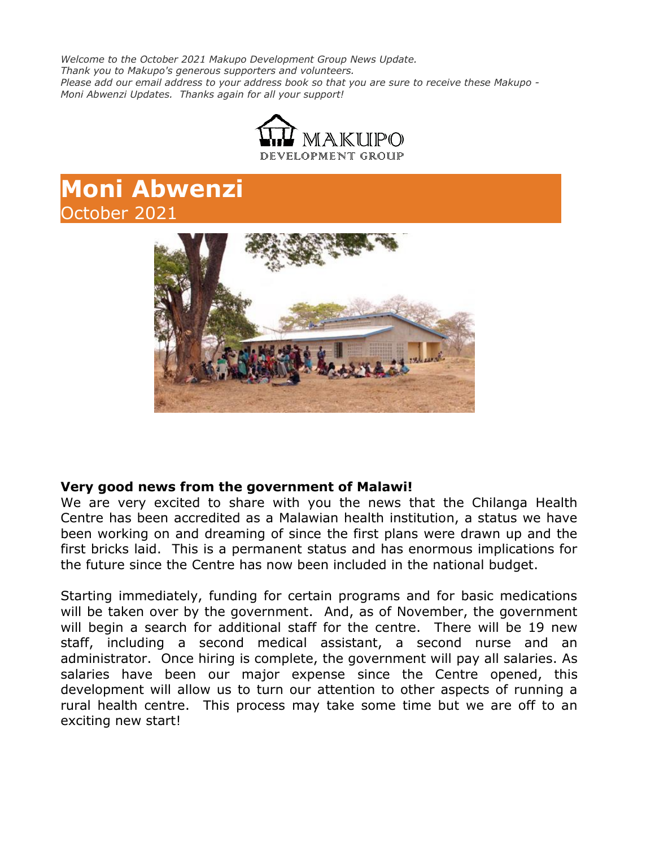*Welcome to the October 2021 Makupo Development Group News Update. Thank you to Makupo's generous supporters and volunteers. Please add our email address to your address book so that you are sure to receive these Makupo - Moni Abwenzi Updates. Thanks again for all your support!*



# **Moni Abwenzi** October 2021



#### **Very good news from the government of Malawi!**

We are very excited to share with you the news that the Chilanga Health Centre has been accredited as a Malawian health institution, a status we have been working on and dreaming of since the first plans were drawn up and the first bricks laid. This is a permanent status and has enormous implications for the future since the Centre has now been included in the national budget.

Starting immediately, funding for certain programs and for basic medications will be taken over by the government. And, as of November, the government will begin a search for additional staff for the centre. There will be 19 new staff, including a second medical assistant, a second nurse and an administrator. Once hiring is complete, the government will pay all salaries. As salaries have been our major expense since the Centre opened, this development will allow us to turn our attention to other aspects of running a rural health centre. This process may take some time but we are off to an exciting new start!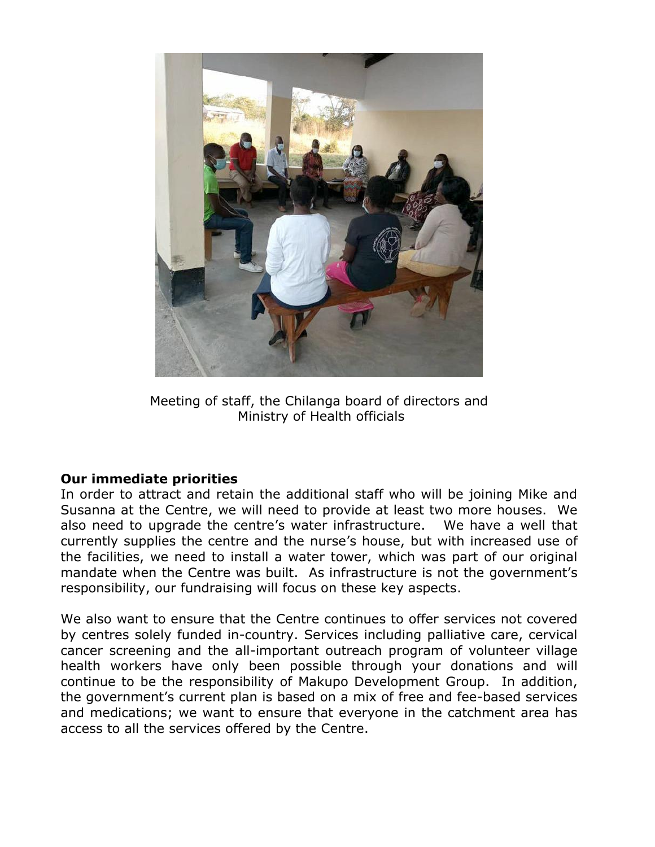

Meeting of staff, the Chilanga board of directors and Ministry of Health officials

#### **Our immediate priorities**

In order to attract and retain the additional staff who will be joining Mike and Susanna at the Centre, we will need to provide at least two more houses. We also need to upgrade the centre's water infrastructure. We have a well that currently supplies the centre and the nurse's house, but with increased use of the facilities, we need to install a water tower, which was part of our original mandate when the Centre was built. As infrastructure is not the government's responsibility, our fundraising will focus on these key aspects.

We also want to ensure that the Centre continues to offer services not covered by centres solely funded in-country. Services including palliative care, cervical cancer screening and the all-important outreach program of volunteer village health workers have only been possible through your donations and will continue to be the responsibility of Makupo Development Group. In addition, the government's current plan is based on a mix of free and fee-based services and medications; we want to ensure that everyone in the catchment area has access to all the services offered by the Centre.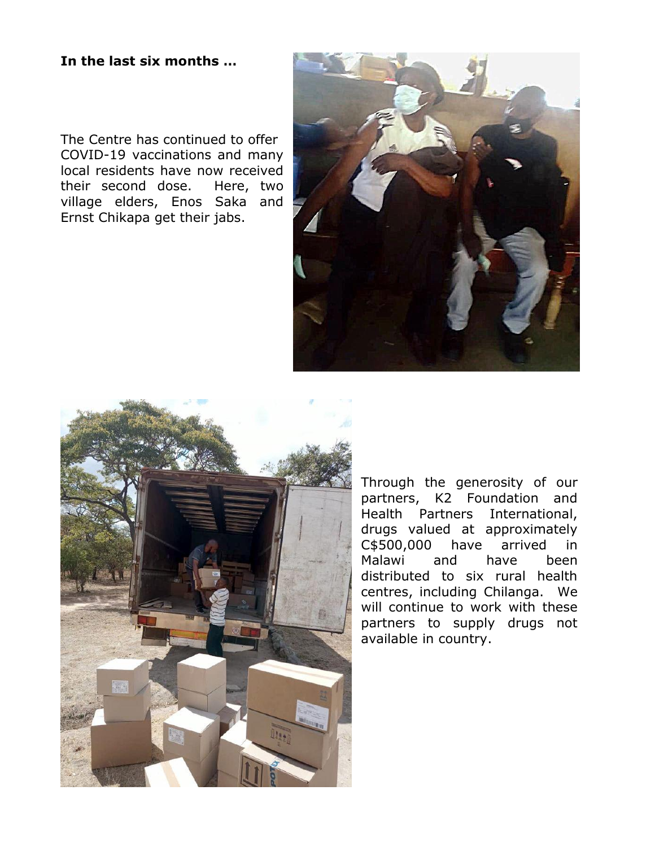#### **In the last six months …**

The Centre has continued to offer COVID-19 vaccinations and many local residents have now received their second dose. Here, two village elders, Enos Saka and Ernst Chikapa get their jabs.





Through the generosity of our partners, K2 Foundation and Health Partners International, drugs valued at approximately C\$500,000 have arrived in Malawi and have been distributed to six rural health centres, including Chilanga. We will continue to work with these partners to supply drugs not available in country.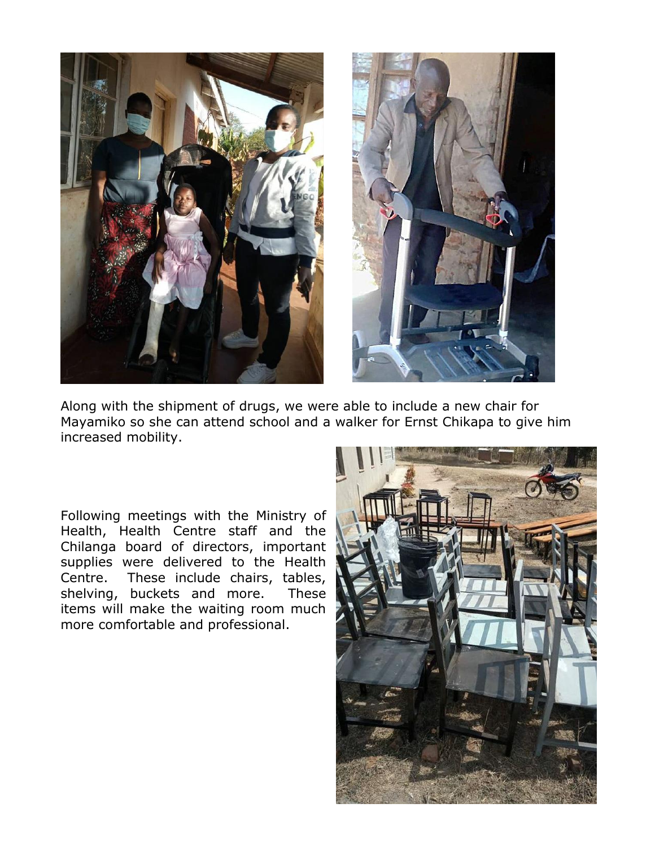



Along with the shipment of drugs, we were able to include a new chair for Mayamiko so she can attend school and a walker for Ernst Chikapa to give him increased mobility.

Following meetings with the Ministry of Health, Health Centre staff and the Chilanga board of directors, important supplies were delivered to the Health Centre. These include chairs, tables, shelving, buckets and more. These items will make the waiting room much more comfortable and professional.